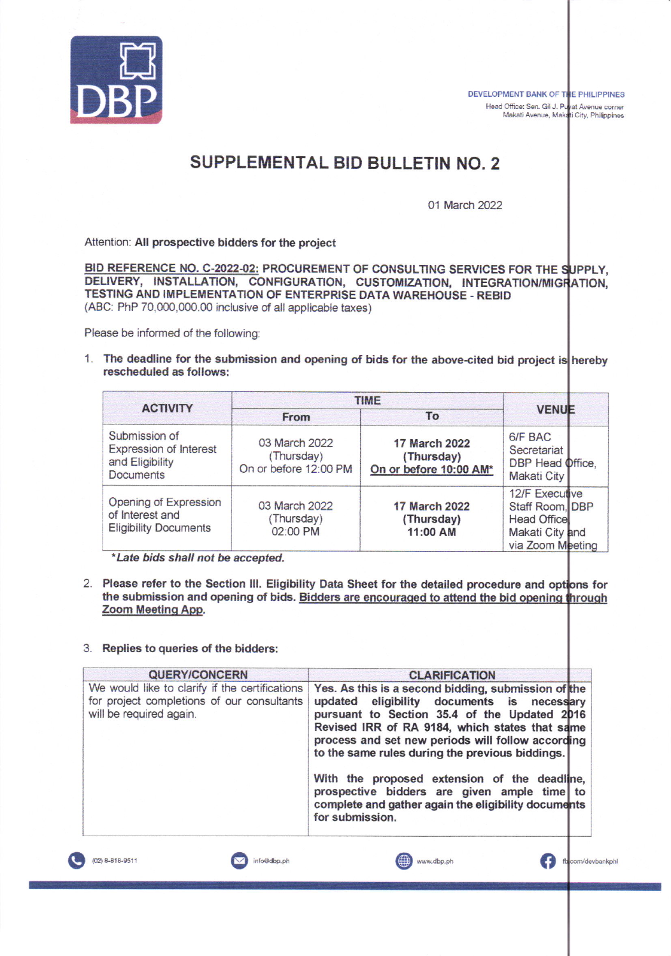

DEVELOPMENT BANK OF THE PHILIPPINES<br>Head Office: Sen. Gil J. Puyat Avenue corner<br>Makati Avenue, Makati City, Philippines DEVELOPMENT BANK OF THE PHILIPPINES Head Office: Sen. Gil J.

## SUPPLEMENTAL BID BULLETIN NO.2

01 March 2022

Attention: All prospective bidders for the project

BID REFERENCE NO. C-2022-02: PROCUREMENT OF CONSULTING SERVICES FOR THE SUPPLY, DELIVERY, INSTALLATION, CONFIGURATION, CUSTOMIZATION, INTEGRATION/MIGRATION, TESTING AND IMPLEMENTATION OF ENTERPRISE DATA WAREHOUSE. REBID (ABC: PhP 70,000,000.00 inclusive of all applicable taxes)

Please be informed of the following:

1. The deadline for the submission and opening of bids for the above-cited bid project is hereby rescheduled as follows:

|                                                                                | <b>TIME</b>                                          |                                                       |                                                                                                |
|--------------------------------------------------------------------------------|------------------------------------------------------|-------------------------------------------------------|------------------------------------------------------------------------------------------------|
| <b>ACTIVITY</b>                                                                | From                                                 | To                                                    | <b>VENUE</b>                                                                                   |
| Submission of<br>Expression of Interest<br>and Eligibility<br><b>Documents</b> | 03 March 2022<br>(Thursday)<br>On or before 12:00 PM | 17 March 2022<br>(Thursday)<br>On or before 10:00 AM* | 6/F BAC<br>Secretariat<br>DBP Head Office,<br>Makati City                                      |
| Opening of Expression<br>of Interest and<br><b>Eligibility Documents</b>       | 03 March 2022<br>(Thursday)<br>02:00 PM              | <b>17 March 2022</b><br>(Thursday)<br>11:00 AM        | 12/F Executive<br>Staff Room, DBP<br><b>Head Office</b><br>Makati City and<br>via Zoom Meeting |

\*Late bids shall not be accepted.

2. Please refer to the Section III. Eligibility Data Sheet for the detailed procedure and options for the submission and opening of bids. <u>Bidders are encouraged to</u> Zoom Meeting App.

## 3. Roplies to queries of the bidders:

| <b>QUERY/CONCERN</b>                                                                                                    | <b>CLARIFICATION</b>                                                                                                                                                                                                                                                                                        |  |
|-------------------------------------------------------------------------------------------------------------------------|-------------------------------------------------------------------------------------------------------------------------------------------------------------------------------------------------------------------------------------------------------------------------------------------------------------|--|
| We would like to clarify if the certifications<br>for project completions of our consultants<br>will be required again. | Yes. As this is a second bidding, submission of the<br>updated eligibility documents is necessary<br>pursuant to Section 35.4 of the Updated 2016<br>Revised IRR of RA 9184, which states that same<br>process and set new periods will follow according<br>to the same rules during the previous biddings. |  |
|                                                                                                                         | With the proposed extension of the deadline,<br>prospective bidders are given ample time to<br>complete and gather again the eligibility documents<br>for submission.                                                                                                                                       |  |
| (02) 8-818-9511<br>info@dbp.ph                                                                                          | ⊕<br>com/devba<br>www.dbp.ph                                                                                                                                                                                                                                                                                |  |